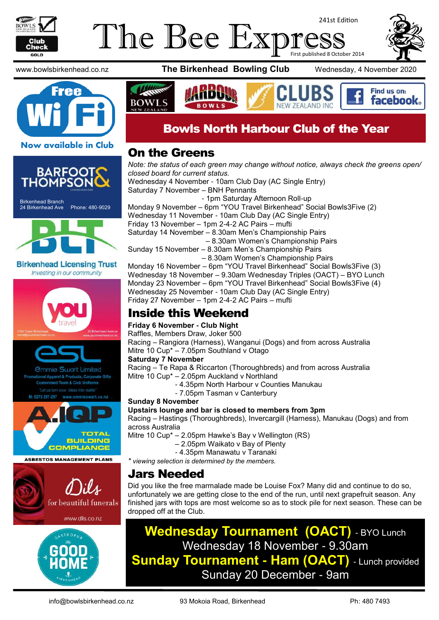

#### The Bee Exp 241st Edition First published 8 October 2014



Find us on: facebook.

www.bowlsbirkenhead.co.nz **The Birkenhead Bowling Club** Wednesday, 4 November 2020



#### On the Greens

**BOWLS** 

Birkenhead Branch 24 Birkenhead Ave Phone: 480-9029 **Birkenhead Licensing Trust** Investing in our community mmie Swart Limited rel & Products, Corporate Gifts Team & Club Unifor TOTAL **BUILDING COMPLIANCE ASBESTOS MANAGEMENT PLANS** for beautiful funerals www.dils.co.nz

*Note: the status of each green may change without notice, always check the greens open/ closed board for current status.* Wednesday 4 November - 10am Club Day (AC Single Entry) Saturday 7 November – BNH Pennants - 1pm Saturday Afternoon Roll-up Monday 9 November – 6pm "YOU Travel Birkenhead" Social Bowls3Five (2) Wednesday 11 November - 10am Club Day (AC Single Entry) Friday 13 November – 1pm 2-4-2 AC Pairs – mufti Saturday 14 November – 8.30am Men's Championship Pairs – 8.30am Women's Championship Pairs Sunday 15 November – 8.30am Men's Championship Pairs – 8.30am Women's Championship Pairs Monday 16 November – 6pm "YOU Travel Birkenhead" Social Bowls3Five (3)

Bowls North Harbour Club of the Year

Wednesday 18 November – 9.30am Wednesday Triples (OACT) – BYO Lunch Monday 23 November – 6pm "YOU Travel Birkenhead" Social Bowls3Five (4) Wednesday 25 November - 10am Club Day (AC Single Entry) Friday 27 November – 1pm 2-4-2 AC Pairs – mufti

## Inside this Weekend

#### **Friday 6 November - Club Night**

Raffles, Members Draw, Joker 500

Racing – Rangiora (Harness), Wanganui (Dogs) and from across Australia Mitre 10 Cup\* – 7.05pm Southland v Otago

#### **Saturday 7 November**

Racing – Te Rapa & Riccarton (Thoroughbreds) and from across Australia

- Mitre 10 Cup\* 2.05pm Auckland v Northland
	- 4.35pm North Harbour v Counties Manukau
	- 7.05pm Tasman v Canterbury

#### **Sunday 8 November**

**Upstairs lounge and bar is closed to members from 3pm**

Racing – Hastings (Thoroughbreds), Invercargill (Harness), Manukau (Dogs) and from across Australia

Mitre 10 Cup\* – 2.05pm Hawke's Bay v Wellington (RS)

- 2.05pm Waikato v Bay of Plenty
- 4.35pm Manawatu v Taranaki

*\* viewing selection is determined by the members.*

## Jars Needed

Did you like the free marmalade made be Louise Fox? Many did and continue to do so, unfortunately we are getting close to the end of the run, until next grapefruit season. Any finished jars with tops are most welcome so as to stock pile for next season. These can be dropped off at the Club.

**Wednesday Tournament (OACT)** - BYO Lunch Wednesday 18 November - 9.30am **Sunday Tournament - Ham (OACT)** - Lunch provided Sunday 20 December - 9am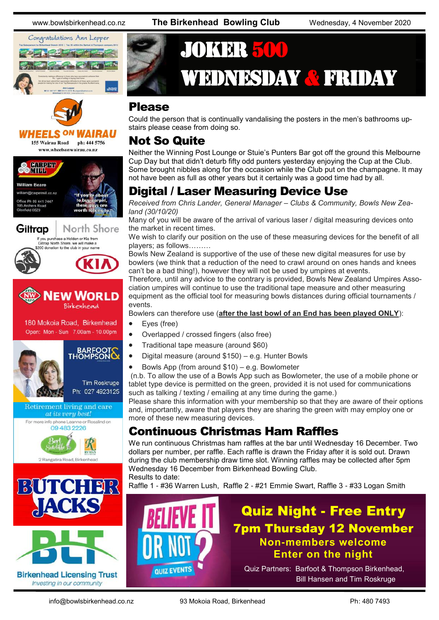



#### 'HEELS ON WAIRAU 155 Wairau Road ph: 444 5756 www.wheelsonwairau.co.nz







**Tim Roskruge** Ph: 027 4923125







## JOKER 500 WEDNESDAY & FRIDAY

#### Please

Could the person that is continually vandalising the posters in the men's bathrooms upstairs please cease from doing so.

#### Not So Quite

Neither the Winning Post Lounge or Stuie's Punters Bar got off the ground this Melbourne Cup Day but that didn't deturb fifty odd punters yesterday enjoying the Cup at the Club. Some brought nibbles along for the occasion while the Club put on the champagne. It may not have been as full as other years but it certainly was a good time had by all.

## Digital / Laser Measuring Device Use

*Received from Chris Lander, General Manager – Clubs & Community, Bowls New Zealand (30/10/20)*

Many of you will be aware of the arrival of various laser / digital measuring devices onto the market in recent times.

We wish to clarify our position on the use of these measuring devices for the benefit of all players; as follows………

Bowls New Zealand is supportive of the use of these new digital measures for use by bowlers (we think that a reduction of the need to crawl around on ones hands and knees can't be a bad thing!), however they will not be used by umpires at events.

Therefore, until any advice to the contrary is provided, Bowls New Zealand Umpires Association umpires will continue to use the traditional tape measure and other measuring equipment as the official tool for measuring bowls distances during official tournaments / events.

Bowlers can therefore use (**after the last bowl of an End has been played ONLY**):

- Eyes (free)
- Overlapped / crossed fingers (also free)
- Traditional tape measure (around \$60)
- Digital measure (around \$150) e.g. Hunter Bowls
- Bowls App (from around \$10) e.g. Bowlometer

(n.b. To allow the use of a Bowls App such as Bowlometer, the use of a mobile phone or tablet type device is permitted on the green, provided it is not used for communications such as talking / texting / emailing at any time during the game.)

Please share this information with your membership so that they are aware of their options and, importantly, aware that players they are sharing the green with may employ one or more of these new measuring devices.

## Continuous Christmas Ham Raffles

We run continuous Christmas ham raffles at the bar until Wednesday 16 December. Two dollars per number, per raffle. Each raffle is drawn the Friday after it is sold out. Drawn during the club membership draw time slot. Winning raffles may be collected after 5pm Wednesday 16 December from Birkenhead Bowling Club. Results to date:

Raffle 1 - #36 Warren Lush, Raffle 2 - #21 Emmie Swart, Raffle 3 - #33 Logan Smith



## Quiz Night - Free Entry 7pm Thursday 12 November **Non-members welcome Enter on the night**

Quiz Partners: Barfoot & Thompson Birkenhead, Bill Hansen and Tim Roskruge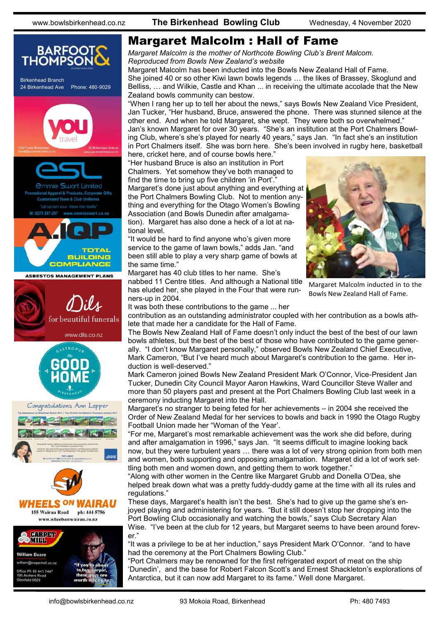

## Margaret Malcolm : Hall of Fame

*Margaret Malcolm is the mother of Northcote Bowling Club's Brent Malcom. Reproduced from Bowls New Zealand's website*

Margaret Malcolm has been inducted into the Bowls New Zealand Hall of Fame. She joined 40 or so other Kiwi lawn bowls legends … the likes of Brassey, Skoglund and Belliss, … and Wilkie, Castle and Khan ... in receiving the ultimate accolade that the New Zealand bowls community can bestow.

"When I rang her up to tell her about the news," says Bowls New Zealand Vice President, Jan Tucker, "Her husband, Bruce, answered the phone. There was stunned silence at the other end. And when he told Margaret, she wept. They were both so overwhelmed." Jan's known Margaret for over 30 years. "She's an institution at the Port Chalmers Bowling Club, where's she's played for nearly 40 years," says Jan. "In fact she's an institution in Port Chalmers itself. She was born here. She's been involved in rugby here, basketball here, cricket here, and of course bowls here."

"Her husband Bruce is also an institution in Port Chalmers. Yet somehow they've both managed to find the time to bring up five children 'in Port'.' Margaret's done just about anything and everything at the Port Chalmers Bowling Club. Not to mention anything and everything for the Otago Women's Bowling Association (and Bowls Dunedin after amalgamation). Margaret has also done a heck of a lot at national level.

"It would be hard to find anyone who's given more service to the game of lawn bowls," adds Jan. "and been still able to play a very sharp game of bowls at the same time."

Margaret has 40 club titles to her name. She's

nabbed 11 Centre titles. And although a National title has eluded her, she played in the Four that were runners-up in 2004.



Margaret Malcolm inducted in to the Bowls New Zealand Hall of Fame.

It was both these contributions to the game ... her contribution as an outstanding administrator coupled with her contribution as a bowls athlete that made her a candidate for the Hall of Fame.

The Bowls New Zealand Hall of Fame doesn't only induct the best of the best of our lawn bowls athletes, but the best of the best of those who have contributed to the game generally. "I don't know Margaret personally," observed Bowls New Zealand Chief Executive, Mark Cameron, "But I've heard much about Margaret's contribution to the game. Her induction is well-deserved."

Mark Cameron joined Bowls New Zealand President Mark O'Connor, Vice-President Jan Tucker, Dunedin City Council Mayor Aaron Hawkins, Ward Councillor Steve Waller and more than 50 players past and present at the Port Chalmers Bowling Club last week in a ceremony inducting Margaret into the Hall.

Margaret's no stranger to being feted for her achievements – in 2004 she received the Order of New Zealand Medal for her services to bowls and back in 1990 the Otago Rugby Football Union made her "Woman of the Year'.

"For me, Margaret's most remarkable achievement was the work she did before, during and after amalgamation in 1996," says Jan. "It seems difficult to imagine looking back now, but they were turbulent years … there was a lot of very strong opinion from both men and women, both supporting and opposing amalgamation. Margaret did a lot of work settling both men and women down, and getting them to work together."

"Along with other women in the Centre like Margaret Grubb and Donella O'Dea, she helped break down what was a pretty fuddy-duddy game at the time with all its rules and regulations."

These days, Margaret's health isn't the best. She's had to give up the game she's enjoyed playing and administering for years. "But it still doesn't stop her dropping into the Port Bowling Club occasionally and watching the bowls," says Club Secretary Alan Wise. "I've been at the club for 12 years, but Margaret seems to have been around forever."

"It was a privilege to be at her induction," says President Mark O'Connor. "and to have had the ceremony at the Port Chalmers Bowling Club."

"Port Chalmers may be renowned for the first refrigerated export of meat on the ship 'Dunedin', and the base for Robert Falcon Scott's and Ernest Shackleton's explorations of Antarctica, but it can now add Margaret to its fame." Well done Margaret.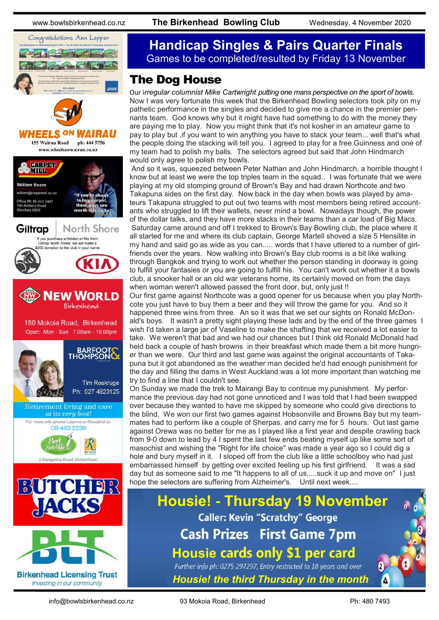www.bowlsbirkenhead.co.nz **The Birkenhead Bowling Club** Wednesday, 4 November 2020



## **Handicap Singles & Pairs Quarter Finals** Games to be completed/resulted by Friday 13 November

#### The Dog House

Our i*rregular columnist Mike Cartwright putting one mans perspective on the sport of bowls.* Now I was very fortunate this week that the Birkenhead Bowling selectors took pity on my pathetic performance in the singles and decided to give me a chance in the premier pennants team. God knows why but it might have had something to do with the money they are paying me to play. Now you might think that it's not kosher in an amateur game to pay to play but ,if you want to win anything you have to stack your team... well that's what the people doing the stacking will tell you. I agreed to play for a free Guinness and one of my team had to polish my balls. The selectors agreed but said that John Hindmarch would only agree to polish my bowls.

And so it was, squeezed between Peter Nathan and John Hindmarch, a horrible thought I know but at least we were the top triples team in the squad.. I was fortunate that we were playing at my old stomping ground of Brown's Bay and had drawn Northcote and two Takapuna sides on the first day. Now back in the day when bowls was played by amateurs Takapuna struggled to put out two teams with most members being retired accountants who struggled to lift their wallets, never mind a bowl. Nowadays though, the power of the dollar talks, and they have more stacks in their teams than a car load of Big Macs. Saturday came around and off I trekked to Brown's Bay Bowling club, the place where it all started for me and where its club captain, George Martell shoved a size 5 Hensilite in my hand and said go as wide as you can..... words that I have uttered to a number of girlfriends over the years. Now walking into Brown's Bay club rooms is a bit like walking through Bangkok and trying to work out whether the person standing in doorway is going to fulfill your fantasies or you are going to fulfill his. You can't work out whether it a bowls club, a snooker hall or an old war veterans home, its certainly moved on from the days when woman weren't allowed passed the front door, but, only just !!

Our first game against Northcote was a good opener for us because when you play Northcote you just have to buy them a beer and they will throw the game for you. And so it happened three wins from three. An so it was that we set our sights on Ronald McDonald's boys. It wasn't a pretty sight playing these lads and by the end of the three games I wish I'd taken a large jar of Vaseline to make the shafting that we received a lot easier to take. We weren't that bad and we had our chances but I think old Ronald McDonald had held back a couple of hash browns in their breakfast which made them a bit more hungrier than we were. Our third and last game was against the original accountants of Takapuna but it got abandoned as the weather man decided he'd had enough punishment for the day and filling the dams in West Auckland was a lot more important than watching me try to find a line that I couldn't see.

On Sunday we made the trek to Mairangi Bay to continue my punishment. My performance the previous day had not gone unnoticed and I was told that I had been swapped over because they wanted to have me skipped by someone who could give directions to the blind. We won our first two games against Hobsonville and Browns Bay but my teammates had to perform like a couple of Sherpas. and carry me for 5 hours. Out last game against Orewa was no better for me as I played like a first year and despite crawling back from 9-0 down to lead by 4 I spent the last few ends beating myself up like some sort of masochist and wishing the "Right for life choice" was made a year ago so I could dig a hole and bury myself in it. I sloped off from the club like a little schoolboy who had just embarrassed himself by getting over excited feeling up his first girlfriend. It was a sad day but as someone said to me "It happens to all of us.....suck it up and move on" I just hope the selectors are suffering from Alzheimer's. Until next week....

**Housie! - Thursday 19 November Caller: Kevin "Scratchy" George Cash Prizes First Game 7pm Housie** Further info ph: 0275 297297, Entry restricted to 18 years and over *Housie! the third Thursday in the month*

info@bowlsbirkenhead.co.nz 93 Mokoia Road, Birkenhead Ph: 480 7493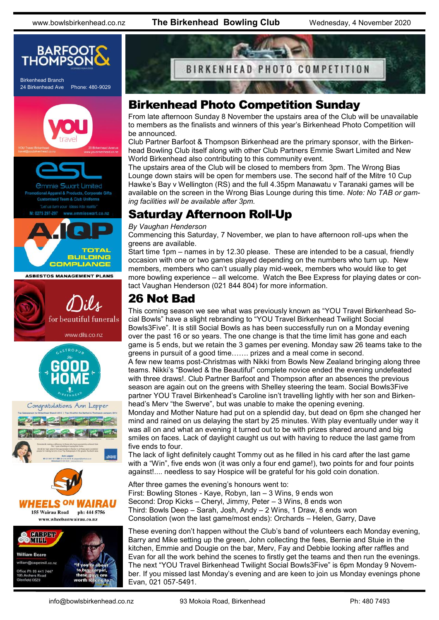www.bowlsbirkenhead.co.nz **The Birkenhead Bowling Club** Wednesday, 4 November 2020





## Birkenhead Photo Competition Sunday

From late afternoon Sunday 8 November the upstairs area of the Club will be unavailable to members as the finalists and winners of this year's Birkenhead Photo Competition will be announced.

Club Partner Barfoot & Thompson Birkenhead are the primary sponsor, with the Birkenhead Bowling Club itself along with other Club Partners Emmie Swart Limited and New World Birkenhead also contributing to this community event.

The upstairs area of the Club will be closed to members from 3pm. The Wrong Bias Lounge down stairs will be open for members use. The second half of the Mitre 10 Cup Hawke's Bay v Wellington (RS) and the full 4.35pm Manawatu v Taranaki games will be available on the screen in the Wrong Bias Lounge during this time. *Note: No TAB or gaming facilities will be available after 3pm.*

## Saturday Afternoon Roll-Up

#### *By Vaughan Henderson*

Commencing this Saturday, 7 November, we plan to have afternoon roll-ups when the greens are available.

Start time 1pm – names in by 12.30 please. These are intended to be a casual, friendly occasion with one or two games played depending on the numbers who turn up. New members, members who can't usually play mid-week, members who would like to get more bowling experience – all welcome. Watch the Bee Express for playing dates or contact Vaughan Henderson (021 844 804) for more information.

## 26 Not Bad

This coming season we see what was previously known as "YOU Travel Birkenhead Social Bowls" have a slight rebranding to "YOU Travel Birkenhead Twilight Social Bowls3Five". It is still Social Bowls as has been successfully run on a Monday evening over the past 16 or so years. The one change is that the time limit has gone and each game is 5 ends, but we retain the 3 games per evening. Monday saw 26 teams take to the greens in pursuit of a good time……. prizes and a meal come in second. A few new teams post-Christmas with Nikki from Bowls New Zealand bringing along three teams. Nikki's "Bowled & the Beautiful" complete novice ended the evening undefeated

with three draws!. Club Partner Barfoot and Thompson after an absences the previous season are again out on the greens with Shelley steering the team. Social Bowls3Five partner YOU Travel Birkenhead's Caroline isn't travelling lightly with her son and Birkenhead's Merv "the Swerve", but was unable to make the opening evening.

Monday and Mother Nature had put on a splendid day, but dead on 6pm she changed her mind and rained on us delaying the start by 25 minutes. With play eventually under way it was all on and what an evening it turned out to be with prizes shared around and big smiles on faces. Lack of daylight caught us out with having to reduce the last game from five ends to four.

The lack of light definitely caught Tommy out as he filled in his card after the last game with a "Win", five ends won (it was only a four end game!), two points for and four points against!.... needless to say Hospice will be grateful for his gold coin donation.

After three games the evening's honours went to: First: Bowling Stones - Kaye, Robyn, Ian – 3 Wins, 9 ends won Second: Drop Kicks – Cheryl, Jimmy, Peter – 3 Wins, 8 ends won Third: Bowls Deep – Sarah, Josh, Andy – 2 Wins, 1 Draw, 8 ends won Consolation (won the last game/most ends): Orchards – Helen, Garry, Dave

These evening don't happen without the Club's band of volunteers each Monday evening, Barry and Mike setting up the green, John collecting the fees, Bernie and Stuie in the kitchen, Emmie and Dougie on the bar, Merv, Fay and Debbie looking after raffles and Evan for all the work behind the scenes to firstly get the teams and then run the evenings. The next "YOU Travel Birkenhead Twilight Social Bowls3Five" is 6pm Monday 9 November. If you missed last Monday's evening and are keen to join us Monday evenings phone Evan, 021 057-5491.

195 Archers Road<br>Glenfield 0629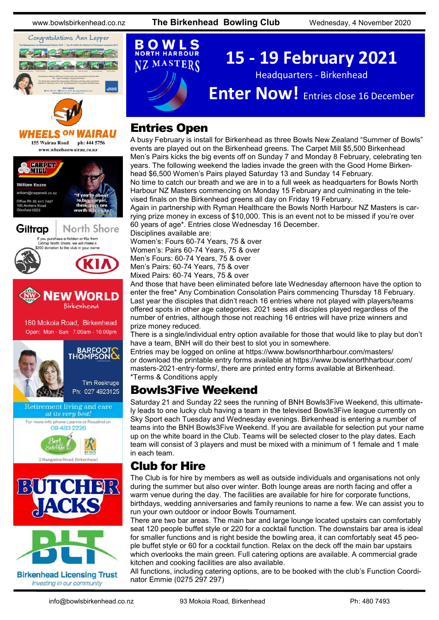*WAIRAU* 

North Shore

**IFW WORLD** 

**BARFOOTS** 

**Tim Roskruge** Ph: 027 4923125

www.bowlsbirkenhead.co.nz **The Birkenhead Bowling Club** Wednesday, 4 November 2020



155 Wairau Road ph: 444 5756 www.wheelsonwairau.co.nz

If you purchase a Holden or Kia from<br>Giltrap North Shore, we will make a<br>\$200 donation to the club in your name

180 Mokoia Road, Birkenhead Open: Mon - Sun 7.00am - 10.00pm

Retirement living and care at its very best! For more info phone Leanne or Rosalind on 09 483 2226

2 Rangatira Road, Birkenh

**Birkenhead Licensing Trust** Investing in our community

BUTCH

**HEELS ON** 

**SOMTHPER** 

**William Reare Mocametmill** co.pz ce Ph 09 441 7447 ekt 0629

Giltrap

#### **NORTH HARBOUR 15 - 19 February 2021 NZ MASTERS** Headquarters - Birkenhead **Enter Now!** Entries close 16 December

#### Entries Open

O W L

A busy February is install for Birkenhead as three Bowls New Zealand "Summer of Bowls" events are played out on the Birkenhead greens. The Carpet Mill \$5,500 Birkenhead Men's Pairs kicks the big events off on Sunday 7 and Monday 8 February, celebrating ten years. The following weekend the ladies invade the green with the Good Home Birkenhead \$6,500 Women's Pairs played Saturday 13 and Sunday 14 February.

No time to catch our breath and we are in to a full week as headquarters for Bowls North Harbour NZ Masters commencing on Monday 15 February and culminating in the televised finals on the Birkenhead greens all day on Friday 19 February.

Again in partnership with Ryman Healthcare the Bowls North Harbour NZ Masters is carrying prize money in excess of \$10,000. This is an event not to be missed if you're over 60 years of age\*. Entries close Wednesday 16 December.

Disciplines available are: Women's: Fours 60-74 Years, 75 & over Women's: Pairs 60-74 Years, 75 & over Men's Fours: 60-74 Years, 75 & over Men's Pairs: 60-74 Years, 75 & over Mixed Pairs: 60-74 Years, 75 & over

And those that have been eliminated before late Wednesday afternoon have the option to enter the free\* Any Combination Consolation Pairs commencing Thursday 18 February. Last year the disciples that didn't reach 16 entries where not played with players/teams offered spots in other age categories. 2021 sees all disciples played regardless of the number of entries, although those not reaching 16 entries will have prize winners and prize money reduced.

There is a single/individual entry option available for those that would like to play but don't have a team, BNH will do their best to slot you in somewhere.

Entries may be logged on online at <https://www.bowlsnorthharbour.com/masters/> or download the printable entry forms available at [https://www.bowlsnorthharbour.com/](https://www.bowlsnorthharbour.com/masters-2021-entry-forms/) [masters-2021-entry-forms/,](https://www.bowlsnorthharbour.com/masters-2021-entry-forms/) there are printed entry forms available at Birkenhead. \*Terms & Conditions apply

#### Bowls3Five Weekend

Saturday 21 and Sunday 22 sees the running of BNH Bowls3Five Weekend, this ultimately leads to one lucky club having a team in the televised Bowls3Five league currently on Sky Sport each Tuesday and Wednesday evenings. Birkenhead is entering a number of teams into the BNH Bowls3Five Weekend. If you are available for selection put your name up on the white board in the Club. Teams will be selected closer to the play dates. Each team will consist of 3 players and must be mixed with a minimum of 1 female and 1 male in each team.

#### Club for Hire

The Club is for hire by members as well as outside individuals and organisations not only during the summer but also over winter. Both lounge areas are north facing and offer a warm venue during the day. The facilities are available for hire for corporate functions, birthdays, wedding anniversaries and family reunions to name a few. We can assist you to run your own outdoor or indoor Bowls Tournament.

There are two bar areas. The main bar and large lounge located upstairs can comfortably seat 120 people buffet style or 220 for a cocktail function. The downstairs bar area is ideal for smaller functions and is right beside the bowling area, it can comfortably seat 45 people buffet style or 60 for a cocktail function. Relax on the deck off the main bar upstairs which overlooks the main green. Full catering options are available. A commercial grade kitchen and cooking facilities are also available.

All functions, including catering options, are to be booked with the club's Function Coordinator Emmie (0275 297 297)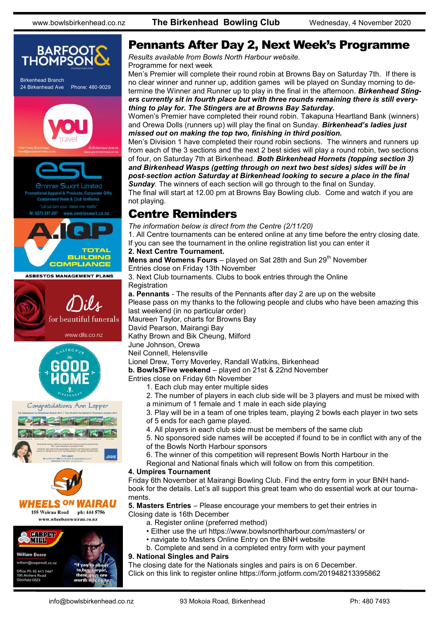

#### Pennants After Day 2, Next Week's Programme

*Results available from Bowls North Harbour website.* Programme for next week

Men's Premier will complete their round robin at Browns Bay on Saturday 7th. If there is no clear winner and runner up, addition games will be played on Sunday morning to determine the Winner and Runner up to play in the final in the afternoon. *Birkenhead Stingers currently sit in fourth place but with three rounds remaining there is still everything to play for. The Stingers are at Browns Bay Saturday.*

Women's Premier have completed their round robin. Takapuna Heartland Bank (winners) and Orewa Dolls (runners up) will play the final on Sunday. *Birkenhead's ladies just missed out on making the top two, finishing in third position.* 

Men's Division 1 have completed their round robin sections. The winners and runners up from each of the 3 sections and the next 2 best sides will play a round robin, two sections of four, on Saturday 7th at Birkenhead. *Both Birkenhead Hornets (topping section 3) and Birkenhead Wasps (getting through on next two best sides) sides will be in post-section action Saturday at Birkenhead looking to secure a place in the final Sunday*. The winners of each section will go through to the final on Sunday.

The final will start at 12.00 pm at Browns Bay Bowling club. Come and watch if you are not playing.

#### Centre Reminders

*The information below is direct from the Centre (2/11/20)*

1. All Centre tournaments can be entered online at any time before the entry closing date. If you can see the tournament in the online registration list you can enter it

#### **2. Next Centre Tournament.**

**Mens and Womens Fours** – played on Sat 28th and Sun 29<sup>th</sup> November

Entries close on Friday 13th November

3. Next Club tournaments. Clubs to book entries through the Online **Registration** 

**a. Pennants** - The results of the Pennants after day 2 are up on the website

Please pass on my thanks to the following people and clubs who have been amazing this last weekend (in no particular order)

Maureen Taylor, charts for Browns Bay

David Pearson, Mairangi Bay

Kathy Brown and Bik Cheung, Milford

June Johnson, Orewa

Neil Connell, Helensville

#### Lionel Drew, Terry Moverley, Randall Watkins, Birkenhead

**b. Bowls3Five weekend** – played on 21st & 22nd November

Entries close on Friday 6th November

- 1. Each club may enter multiple sides
- 2. The number of players in each club side will be 3 players and must be mixed with
- a minimum of 1 female and 1 male in each side playing

3. Play will be in a team of one triples team, playing 2 bowls each player in two sets of 5 ends for each game played.

- 4. All players in each club side must be members of the same club
- 5. No sponsored side names will be accepted if found to be in conflict with any of the of the Bowls North Harbour sponsors
- 6. The winner of this competition will represent Bowls North Harbour in the
- Regional and National finals which will follow on from this competition.

#### **4. Umpires Tournament**

Friday 6th November at Mairangi Bowling Club. Find the entry form in your BNH handbook for the details. Let's all support this great team who do essential work at our tournaments.

**5. Masters Entries** – Please encourage your members to get their entries in Closing date is 16th December

a. Register online (preferred method)

- Either use the url https://www.bowlsnorthharbour.com/masters/ or
- navigate to Masters Online Entry on the BNH website
- b. Complete and send in a completed entry form with your payment

#### **9. National Singles and Pairs**

The closing date for the Nationals singles and pairs is on 6 December. Click on this link to register online<https://form.jotform.com/201948213395862>